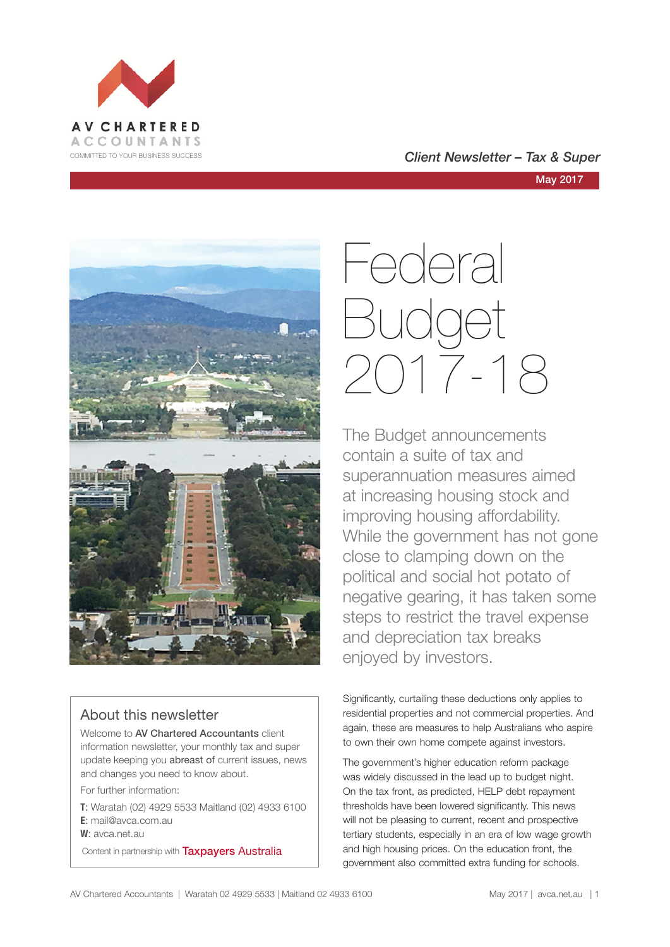





### About this newsletter

Welcome to **AV Chartered Accountants** client information newsletter, your monthly tax and super update keeping you abreast of current issues, news and changes you need to know about.

For further information:

**T**: Waratah (02) 4929 5533 Maitland (02) 4933 6100 **E**: mail@avca.com.au

**W**: avca.net.au

Content in partnership with **Taxpayers Australia** 

# Federal Budget 2017-18

The Budget announcements contain a suite of tax and superannuation measures aimed at increasing housing stock and improving housing affordability. While the government has not gone close to clamping down on the political and social hot potato of negative gearing, it has taken some steps to restrict the travel expense and depreciation tax breaks enjoyed by investors.

Significantly, curtailing these deductions only applies to residential properties and not commercial properties. And again, these are measures to help Australians who aspire to own their own home compete against investors.

The government's higher education reform package was widely discussed in the lead up to budget night. On the tax front, as predicted, HELP debt repayment thresholds have been lowered significantly. This news will not be pleasing to current, recent and prospective tertiary students, especially in an era of low wage growth and high housing prices. On the education front, the government also committed extra funding for schools.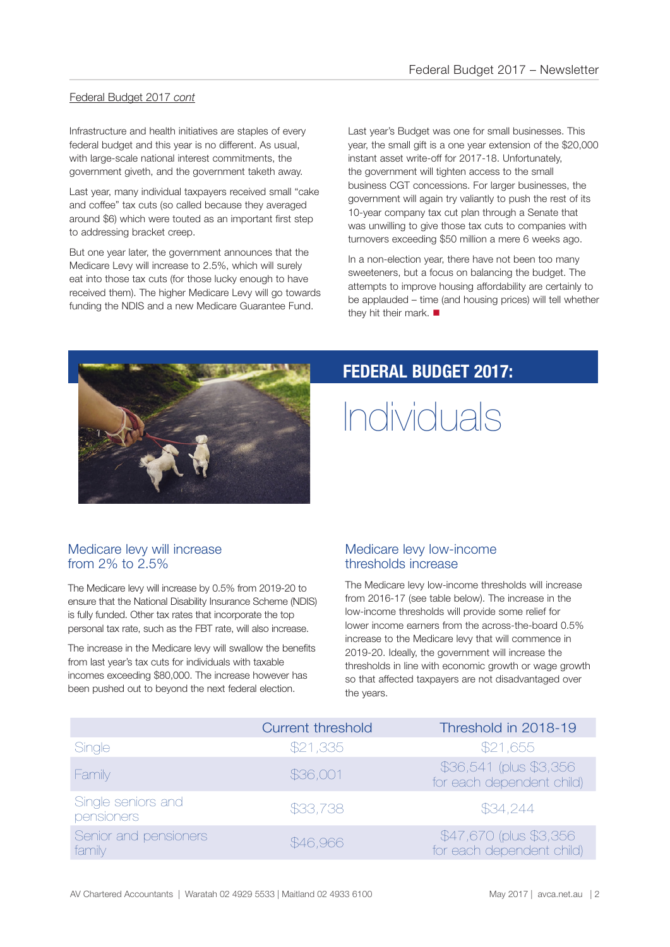### Federal Budget 2017 *cont*

Infrastructure and health initiatives are staples of every federal budget and this year is no different. As usual, with large-scale national interest commitments, the government giveth, and the government taketh away.

Last year, many individual taxpayers received small "cake and coffee" tax cuts (so called because they averaged around \$6) which were touted as an important first step to addressing bracket creep.

But one year later, the government announces that the Medicare Levy will increase to 2.5%, which will surely eat into those tax cuts (for those lucky enough to have received them). The higher Medicare Levy will go towards funding the NDIS and a new Medicare Guarantee Fund.

Last year's Budget was one for small businesses. This year, the small gift is a one year extension of the \$20,000 instant asset write-off for 2017-18. Unfortunately, the government will tighten access to the small business CGT concessions. For larger businesses, the government will again try valiantly to push the rest of its 10-year company tax cut plan through a Senate that was unwilling to give those tax cuts to companies with turnovers exceeding \$50 million a mere 6 weeks ago.

In a non-election year, there have not been too many sweeteners, but a focus on balancing the budget. The attempts to improve housing affordability are certainly to be applauded – time (and housing prices) will tell whether they hit their mark.  $\blacksquare$ 



### **FEDERAL BUDGET 2017:**

## Individuals

### Medicare levy will increase from  $2\%$  to  $2.5\%$

The Medicare levy will increase by 0.5% from 2019-20 to ensure that the National Disability Insurance Scheme (NDIS) is fully funded. Other tax rates that incorporate the top personal tax rate, such as the FBT rate, will also increase.

The increase in the Medicare levy will swallow the benefits from last year's tax cuts for individuals with taxable incomes exceeding \$80,000. The increase however has been pushed out to beyond the next federal election.

### Medicare levy low-income thresholds increase

The Medicare levy low-income thresholds will increase from 2016-17 (see table below). The increase in the low-income thresholds will provide some relief for lower income earners from the across-the-board 0.5% increase to the Medicare levy that will commence in 2019-20. Ideally, the government will increase the thresholds in line with economic growth or wage growth so that affected taxpayers are not disadvantaged over the years.

|                                  | <b>Current threshold</b> | Threshold in 2018-19                                 |
|----------------------------------|--------------------------|------------------------------------------------------|
| Single                           | \$21,335                 | \$21,655                                             |
| Family                           | \$36,001                 | \$36,541 (plus \$3,356)<br>for each dependent child) |
| Single seniors and<br>pensioners | \$33,738                 | \$34,244                                             |
| Senior and pensioners<br>family  | \$46,966                 | \$47,670 (plus \$3,356)<br>for each dependent child) |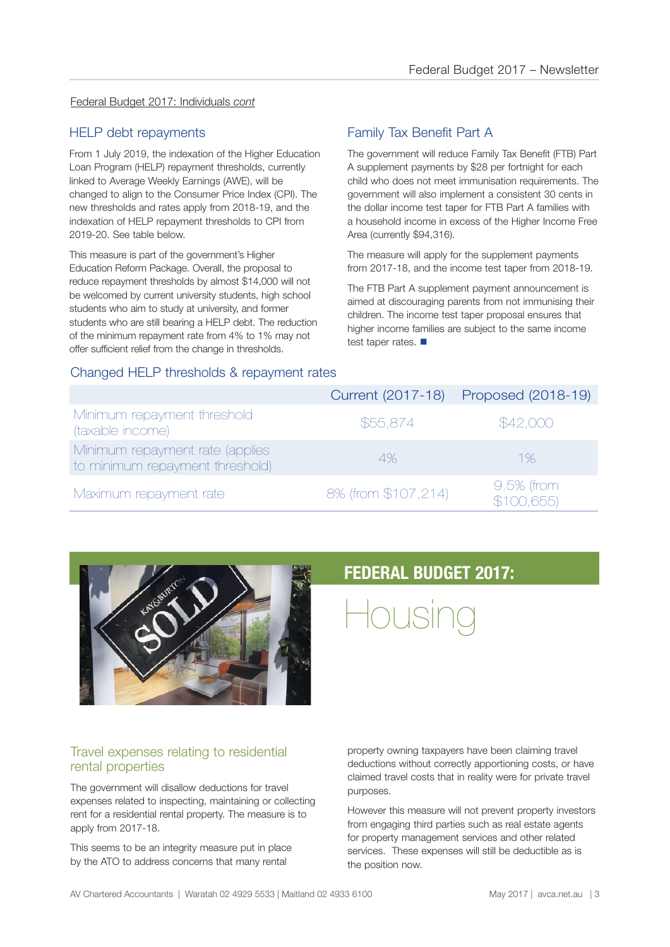### Federal Budget 2017: Individuals *cont*

### HELP debt repayments

From 1 July 2019, the indexation of the Higher Education Loan Program (HELP) repayment thresholds, currently linked to Average Weekly Earnings (AWE), will be changed to align to the Consumer Price Index (CPI). The new thresholds and rates apply from 2018-19, and the indexation of HELP repayment thresholds to CPI from 2019-20. See table below.

This measure is part of the government's Higher Education Reform Package. Overall, the proposal to reduce repayment thresholds by almost \$14,000 will not be welcomed by current university students, high school students who aim to study at university, and former students who are still bearing a HELP debt. The reduction of the minimum repayment rate from 4% to 1% may not offer sufficient relief from the change in thresholds.

### Family Tax Benefit Part A

The government will reduce Family Tax Benefit (FTB) Part A supplement payments by \$28 per fortnight for each child who does not meet immunisation requirements. The government will also implement a consistent 30 cents in the dollar income test taper for FTB Part A families with a household income in excess of the Higher Income Free Area (currently \$94,316).

The measure will apply for the supplement payments from 2017-18, and the income test taper from 2018-19.

The FTB Part A supplement payment announcement is aimed at discouraging parents from not immunising their children. The income test taper proposal ensures that higher income families are subject to the same income test taper rates.  $\blacksquare$ 

### Changed HELP thresholds & repayment rates

|                                                                    |                     | Current (2017-18) Proposed (2018-19) |
|--------------------------------------------------------------------|---------------------|--------------------------------------|
| Minimum repayment threshold<br>(taxable income)                    | \$55,874            | \$42,000                             |
| Minimum repayment rate (applies<br>to minimum repayment threshold) | 4%                  | 1%                                   |
| Maximum repayment rate                                             | 8% (from \$107,214) | 9.5% (from<br>\$100,655              |



### **FEDERAL BUDGET 2017:**

Housing

### Travel expenses relating to residential rental properties

The government will disallow deductions for travel expenses related to inspecting, maintaining or collecting rent for a residential rental property. The measure is to apply from 2017-18.

This seems to be an integrity measure put in place by the ATO to address concerns that many rental

property owning taxpayers have been claiming travel deductions without correctly apportioning costs, or have claimed travel costs that in reality were for private travel purposes.

However this measure will not prevent property investors from engaging third parties such as real estate agents for property management services and other related services. These expenses will still be deductible as is the position now.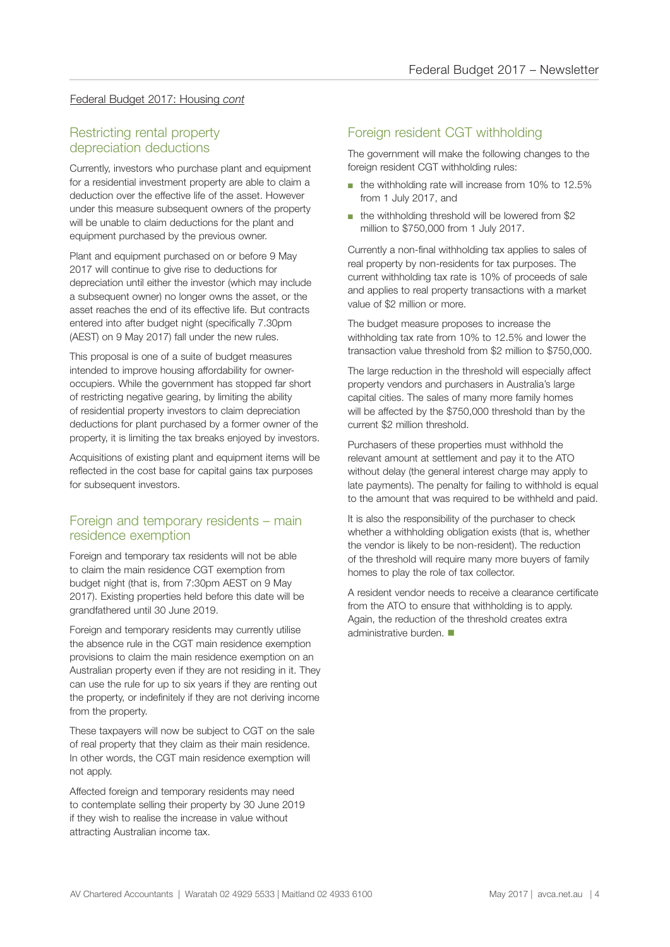### Federal Budget 2017: Housing *cont*

### Restricting rental property depreciation deductions

Currently, investors who purchase plant and equipment for a residential investment property are able to claim a deduction over the effective life of the asset. However under this measure subsequent owners of the property will be unable to claim deductions for the plant and equipment purchased by the previous owner.

Plant and equipment purchased on or before 9 May 2017 will continue to give rise to deductions for depreciation until either the investor (which may include a subsequent owner) no longer owns the asset, or the asset reaches the end of its effective life. But contracts entered into after budget night (specifically 7.30pm (AEST) on 9 May 2017) fall under the new rules.

This proposal is one of a suite of budget measures intended to improve housing affordability for owneroccupiers. While the government has stopped far short of restricting negative gearing, by limiting the ability of residential property investors to claim depreciation deductions for plant purchased by a former owner of the property, it is limiting the tax breaks enjoyed by investors.

Acquisitions of existing plant and equipment items will be reflected in the cost base for capital gains tax purposes for subsequent investors.

### Foreign and temporary residents – main residence exemption

Foreign and temporary tax residents will not be able to claim the main residence CGT exemption from budget night (that is, from 7:30pm AEST on 9 May 2017). Existing properties held before this date will be grandfathered until 30 June 2019.

Foreign and temporary residents may currently utilise the absence rule in the CGT main residence exemption provisions to claim the main residence exemption on an Australian property even if they are not residing in it. They can use the rule for up to six years if they are renting out the property, or indefinitely if they are not deriving income from the property.

These taxpayers will now be subject to CGT on the sale of real property that they claim as their main residence. In other words, the CGT main residence exemption will not apply.

Affected foreign and temporary residents may need to contemplate selling their property by 30 June 2019 if they wish to realise the increase in value without attracting Australian income tax.

### Foreign resident CGT withholding

The government will make the following changes to the foreign resident CGT withholding rules:

- the withholding rate will increase from 10% to 12.5% from 1 July 2017, and
- the withholding threshold will be lowered from \$2 million to \$750,000 from 1 July 2017.

Currently a non-final withholding tax applies to sales of real property by non-residents for tax purposes. The current withholding tax rate is 10% of proceeds of sale and applies to real property transactions with a market value of \$2 million or more.

The budget measure proposes to increase the withholding tax rate from 10% to 12.5% and lower the transaction value threshold from \$2 million to \$750,000.

The large reduction in the threshold will especially affect property vendors and purchasers in Australia's large capital cities. The sales of many more family homes will be affected by the \$750,000 threshold than by the current \$2 million threshold.

Purchasers of these properties must withhold the relevant amount at settlement and pay it to the ATO without delay (the general interest charge may apply to late payments). The penalty for failing to withhold is equal to the amount that was required to be withheld and paid.

It is also the responsibility of the purchaser to check whether a withholding obligation exists (that is, whether the vendor is likely to be non-resident). The reduction of the threshold will require many more buyers of family homes to play the role of tax collector.

A resident vendor needs to receive a clearance certificate from the ATO to ensure that withholding is to apply. Again, the reduction of the threshold creates extra administrative burden.  $\blacksquare$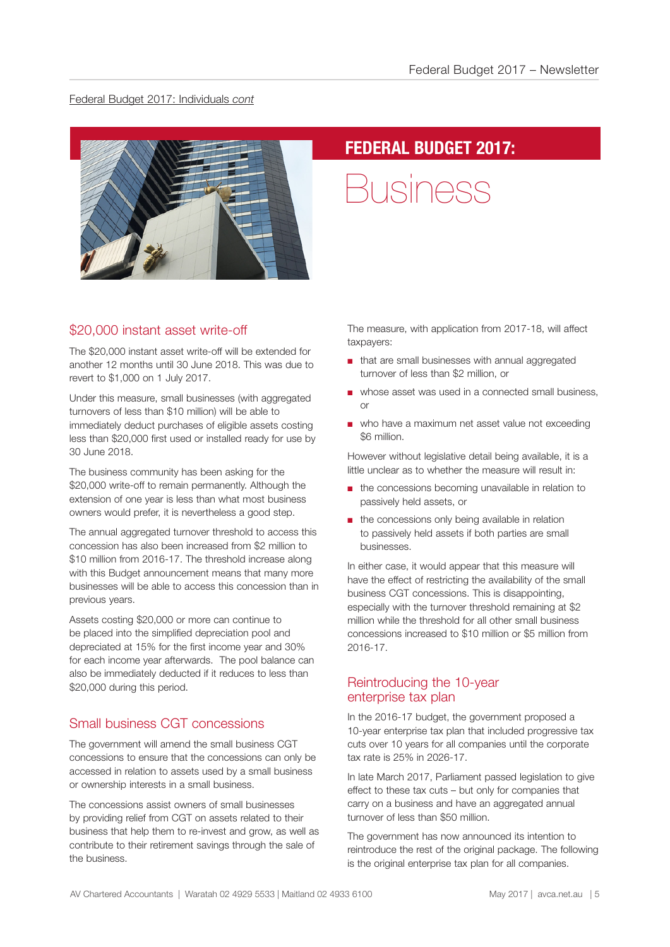### Federal Budget 2017: Individuals *cont*



### **FEDERAL BUDGET 2017:**

Business

### \$20,000 instant asset write-off

The \$20,000 instant asset write-off will be extended for another 12 months until 30 June 2018. This was due to revert to \$1,000 on 1 July 2017.

Under this measure, small businesses (with aggregated turnovers of less than \$10 million) will be able to immediately deduct purchases of eligible assets costing less than \$20,000 first used or installed ready for use by 30 June 2018.

The business community has been asking for the \$20,000 write-off to remain permanently. Although the extension of one year is less than what most business owners would prefer, it is nevertheless a good step.

The annual aggregated turnover threshold to access this concession has also been increased from \$2 million to \$10 million from 2016-17. The threshold increase along with this Budget announcement means that many more businesses will be able to access this concession than in previous years.

Assets costing \$20,000 or more can continue to be placed into the simplified depreciation pool and depreciated at 15% for the first income year and 30% for each income year afterwards. The pool balance can also be immediately deducted if it reduces to less than \$20,000 during this period.

### Small business CGT concessions

The government will amend the small business CGT concessions to ensure that the concessions can only be accessed in relation to assets used by a small business or ownership interests in a small business.

The concessions assist owners of small businesses by providing relief from CGT on assets related to their business that help them to re-invest and grow, as well as contribute to their retirement savings through the sale of the business.

The measure, with application from 2017-18, will affect taxpayers:

- that are small businesses with annual aggregated turnover of less than \$2 million, or
- whose asset was used in a connected small business, or
- who have a maximum net asset value not exceeding \$6 million.

However without legislative detail being available, it is a little unclear as to whether the measure will result in:

- the concessions becoming unavailable in relation to passively held assets, or
- the concessions only being available in relation to passively held assets if both parties are small businesses.

In either case, it would appear that this measure will have the effect of restricting the availability of the small business CGT concessions. This is disappointing, especially with the turnover threshold remaining at \$2 million while the threshold for all other small business concessions increased to \$10 million or \$5 million from 2016-17.

### Reintroducing the 10-year enterprise tax plan

In the 2016-17 budget, the government proposed a 10-year enterprise tax plan that included progressive tax cuts over 10 years for all companies until the corporate tax rate is 25% in 2026-17.

In late March 2017, Parliament passed legislation to give effect to these tax cuts – but only for companies that carry on a business and have an aggregated annual turnover of less than \$50 million.

The government has now announced its intention to reintroduce the rest of the original package. The following is the original enterprise tax plan for all companies.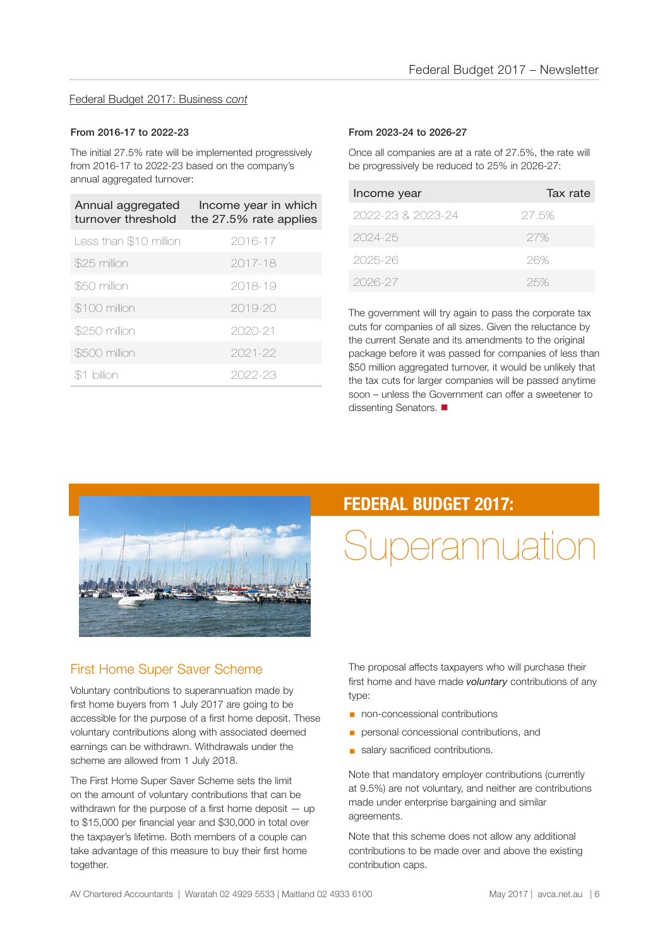### Federal Budget 2017: Business *cont*

#### From 2016-17 to 2022-23

The initial 27.5% rate will be implemented progressively from 2016-17 to 2022-23 based on the company's annual aggregated turnover:

| Annual aggregated<br>turnover threshold | Income year in which<br>the 27.5% rate applies |
|-----------------------------------------|------------------------------------------------|
| Less than \$10 million                  | 2016-17                                        |
| \$25 million                            | 2017-18                                        |
| \$50 million                            | 2018-19                                        |
| \$100 million                           | $2019 - 20$                                    |
| \$250 million                           | 2020-21                                        |
| \$500 million                           | 2021-22                                        |
| billion                                 | 2022-23                                        |

#### From 2023-24 to 2026-27

Once all companies are at a rate of 27.5%, the rate will be progressively be reduced to 25% in 2026-27:

| Income year       | Tax rate |
|-------------------|----------|
| 2022-23 & 2023-24 | 27.5%    |
| 2024-25           | 27%      |
| 2025-26           | 26%      |
| 2026-27           | 25%      |

The government will try again to pass the corporate tax cuts for companies of all sizes. Given the reluctance by the current Senate and its amendments to the original package before it was passed for companies of less than \$50 million aggregated turnover, it would be unlikely that the tax cuts for larger companies will be passed anytime soon – unless the Government can offer a sweetener to dissenting Senators.



### First Home Super Saver Scheme

Voluntary contributions to superannuation made by first home buyers from 1 July 2017 are going to be accessible for the purpose of a first home deposit. These voluntary contributions along with associated deemed earnings can be withdrawn. Withdrawals under the scheme are allowed from 1 July 2018.

The First Home Super Saver Scheme sets the limit on the amount of voluntary contributions that can be withdrawn for the purpose of a first home deposit – up to \$15,000 per financial year and \$30,000 in total over the taxpayer's lifetime. Both members of a couple can take advantage of this measure to buy their first home together.

### **FEDERAL BUDGET 2017:**

## Superannuation

The proposal affects taxpayers who will purchase their first home and have made *voluntary* contributions of any type:

- non-concessional contributions
- **•** personal concessional contributions, and
- **salary sacrificed contributions.**

Note that mandatory employer contributions (currently at 9.5%) are not voluntary, and neither are contributions made under enterprise bargaining and similar agreements.

Note that this scheme does not allow any additional contributions to be made over and above the existing contribution caps.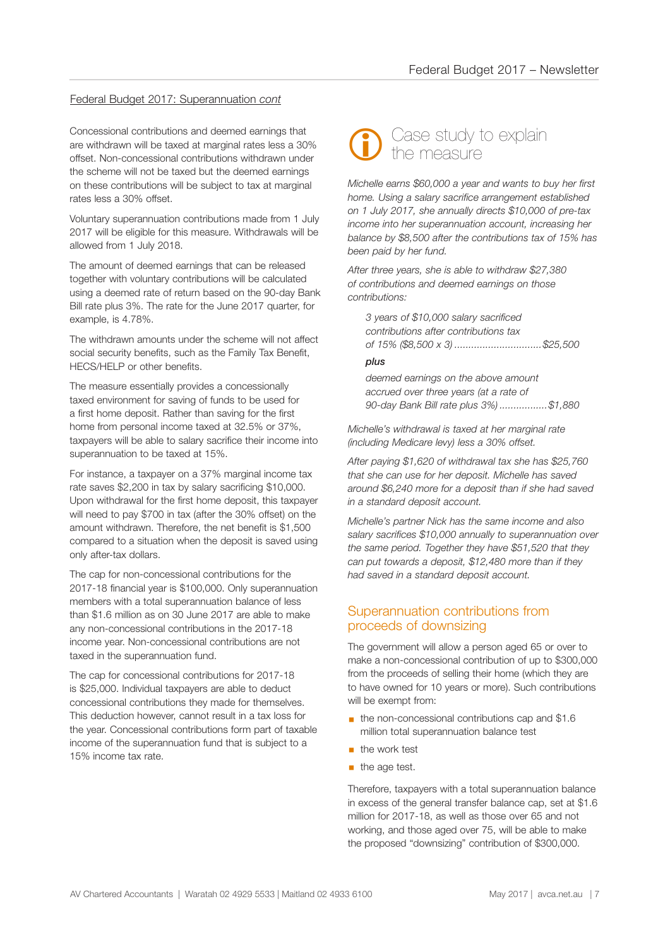#### Federal Budget 2017: Superannuation *cont*

Concessional contributions and deemed earnings that are withdrawn will be taxed at marginal rates less a 30% offset. Non-concessional contributions withdrawn under the scheme will not be taxed but the deemed earnings on these contributions will be subject to tax at marginal rates less a 30% offset.

Voluntary superannuation contributions made from 1 July 2017 will be eligible for this measure. Withdrawals will be allowed from 1 July 2018.

The amount of deemed earnings that can be released together with voluntary contributions will be calculated using a deemed rate of return based on the 90-day Bank Bill rate plus 3%. The rate for the June 2017 quarter, for example, is 4.78%.

The withdrawn amounts under the scheme will not affect social security benefits, such as the Family Tax Benefit, HECS/HELP or other benefits.

The measure essentially provides a concessionally taxed environment for saving of funds to be used for a first home deposit. Rather than saving for the first home from personal income taxed at 32.5% or 37%, taxpayers will be able to salary sacrifice their income into superannuation to be taxed at 15%.

For instance, a taxpayer on a 37% marginal income tax rate saves \$2,200 in tax by salary sacrificing \$10,000. Upon withdrawal for the first home deposit, this taxpayer will need to pay \$700 in tax (after the 30% offset) on the amount withdrawn. Therefore, the net benefit is \$1,500 compared to a situation when the deposit is saved using only after-tax dollars.

The cap for non-concessional contributions for the 2017-18 financial year is \$100,000. Only superannuation members with a total superannuation balance of less than \$1.6 million as on 30 June 2017 are able to make any non-concessional contributions in the 2017-18 income year. Non-concessional contributions are not taxed in the superannuation fund.

The cap for concessional contributions for 2017-18 is \$25,000. Individual taxpayers are able to deduct concessional contributions they made for themselves. This deduction however, cannot result in a tax loss for the year. Concessional contributions form part of taxable income of the superannuation fund that is subject to a 15% income tax rate.



*Michelle earns \$60,000 a year and wants to buy her first home. Using a salary sacrifice arrangement established on 1 July 2017, she annually directs \$10,000 of pre-tax income into her superannuation account, increasing her balance by \$8,500 after the contributions tax of 15% has been paid by her fund.*

*After three years, she is able to withdraw \$27,380 of contributions and deemed earnings on those contributions:* 

*3 years of \$10,000 salary sacrificed contributions after contributions tax of 15% (\$8,500 x 3) ...............................\$25,500*

#### *plus*

*deemed earnings on the above amount accrued over three years (at a rate of 90-day Bank Bill rate plus 3%) .................\$1,880*

*Michelle's withdrawal is taxed at her marginal rate (including Medicare levy) less a 30% offset.* 

*After paying \$1,620 of withdrawal tax she has \$25,760 that she can use for her deposit. Michelle has saved around \$6,240 more for a deposit than if she had saved in a standard deposit account.*

*Michelle's partner Nick has the same income and also salary sacrifices \$10,000 annually to superannuation over the same period. Together they have \$51,520 that they can put towards a deposit, \$12,480 more than if they had saved in a standard deposit account.*

### Superannuation contributions from proceeds of downsizing

The government will allow a person aged 65 or over to make a non-concessional contribution of up to \$300,000 from the proceeds of selling their home (which they are to have owned for 10 years or more). Such contributions will be exempt from:

- the non-concessional contributions cap and \$1.6 million total superannuation balance test
- the work test
- $\blacksquare$  the age test.

Therefore, taxpayers with a total superannuation balance in excess of the general transfer balance cap, set at \$1.6 million for 2017-18, as well as those over 65 and not working, and those aged over 75, will be able to make the proposed "downsizing" contribution of \$300,000.